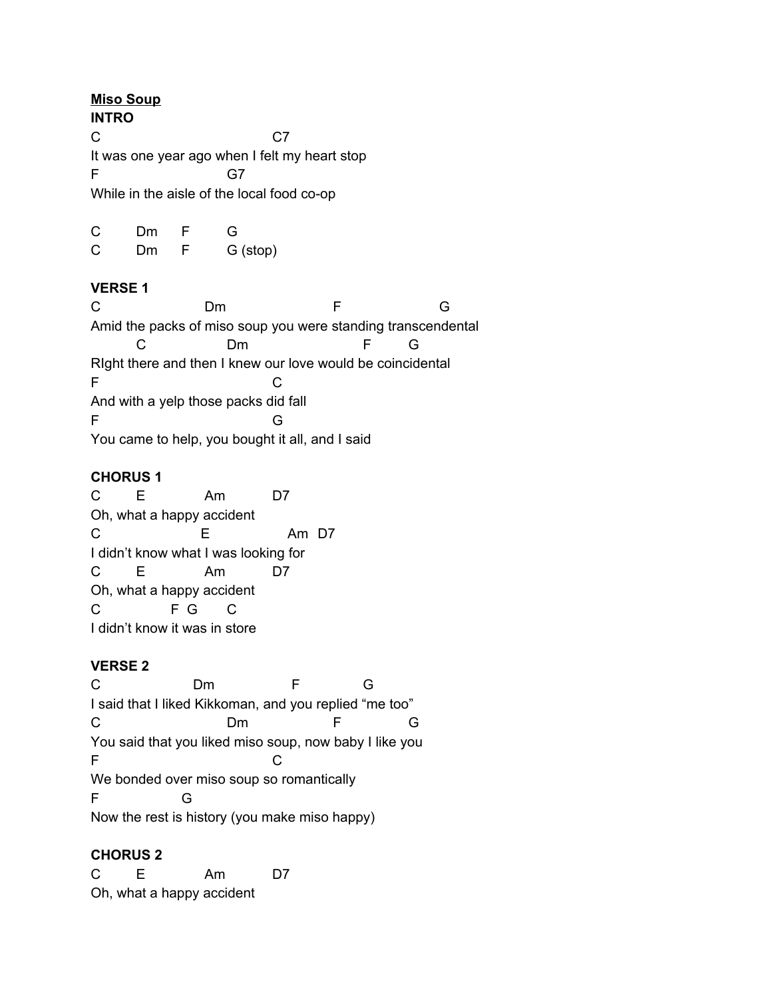#### **Miso Soup**

**INTRO** C<sub>c</sub> C7 It was one year ago when I felt my heart stop F G7 While in the aisle of the local food co-op

| C | Dm  |   | G        |
|---|-----|---|----------|
| C | Dm. | E | G (stop) |

### **VERSE 1**

C Dm F G Amid the packs of miso soup you were standing transcendental C Dm F G RIght there and then I knew our love would be coincidental F C And with a yelp those packs did fall F G You came to help, you bought it all, and I said

### **CHORUS 1**

C E Am D7 Oh, what a happy accident C E Am D7 I didn't know what I was looking for C E Am D7 Oh, what a happy accident C F G C I didn't know it was in store

## **VERSE 2**

C Dm F G I said that I liked Kikkoman, and you replied "me too" C Dm F G You said that you liked miso soup, now baby I like you F C We bonded over miso soup so romantically F G Now the rest is history (you make miso happy)

## **CHORUS 2**

C E Am D7 Oh, what a happy accident